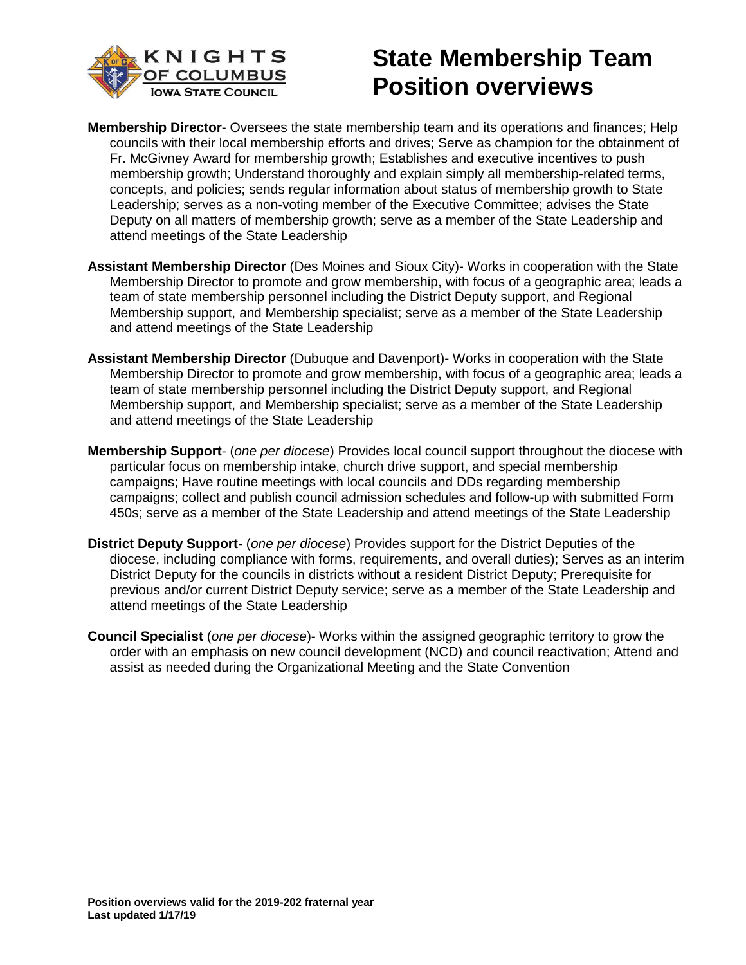

# **State Membership Team Position overviews**

- **Membership Director** Oversees the state membership team and its operations and finances; Help councils with their local membership efforts and drives; Serve as champion for the obtainment of Fr. McGivney Award for membership growth; Establishes and executive incentives to push membership growth; Understand thoroughly and explain simply all membership-related terms, concepts, and policies; sends regular information about status of membership growth to State Leadership; serves as a non-voting member of the Executive Committee; advises the State Deputy on all matters of membership growth; serve as a member of the State Leadership and attend meetings of the State Leadership
- **Assistant Membership Director** (Des Moines and Sioux City)- Works in cooperation with the State Membership Director to promote and grow membership, with focus of a geographic area; leads a team of state membership personnel including the District Deputy support, and Regional Membership support, and Membership specialist; serve as a member of the State Leadership and attend meetings of the State Leadership
- **Assistant Membership Director** (Dubuque and Davenport)- Works in cooperation with the State Membership Director to promote and grow membership, with focus of a geographic area; leads a team of state membership personnel including the District Deputy support, and Regional Membership support, and Membership specialist; serve as a member of the State Leadership and attend meetings of the State Leadership
- **Membership Support** (*one per diocese*) Provides local council support throughout the diocese with particular focus on membership intake, church drive support, and special membership campaigns; Have routine meetings with local councils and DDs regarding membership campaigns; collect and publish council admission schedules and follow-up with submitted Form 450s; serve as a member of the State Leadership and attend meetings of the State Leadership
- **District Deputy Support** (*one per diocese*) Provides support for the District Deputies of the diocese, including compliance with forms, requirements, and overall duties); Serves as an interim District Deputy for the councils in districts without a resident District Deputy; Prerequisite for previous and/or current District Deputy service; serve as a member of the State Leadership and attend meetings of the State Leadership
- **Council Specialist** (*one per diocese*)- Works within the assigned geographic territory to grow the order with an emphasis on new council development (NCD) and council reactivation; Attend and assist as needed during the Organizational Meeting and the State Convention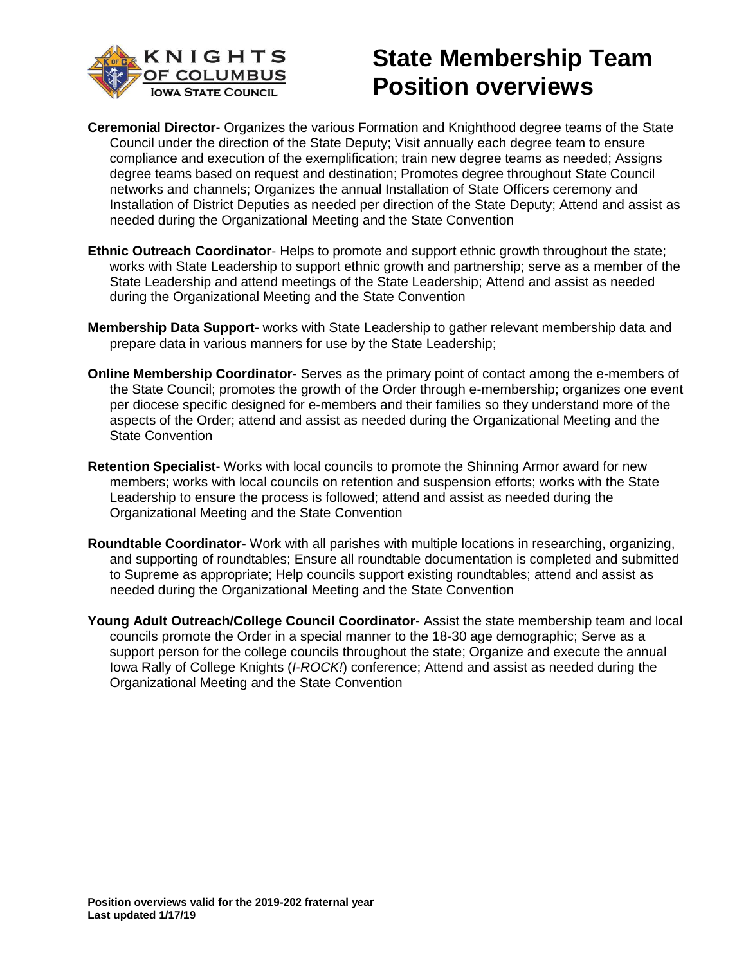

# **State Membership Team Position overviews**

- **Ceremonial Director** Organizes the various Formation and Knighthood degree teams of the State Council under the direction of the State Deputy; Visit annually each degree team to ensure compliance and execution of the exemplification; train new degree teams as needed; Assigns degree teams based on request and destination; Promotes degree throughout State Council networks and channels; Organizes the annual Installation of State Officers ceremony and Installation of District Deputies as needed per direction of the State Deputy; Attend and assist as needed during the Organizational Meeting and the State Convention
- **Ethnic Outreach Coordinator** Helps to promote and support ethnic growth throughout the state; works with State Leadership to support ethnic growth and partnership; serve as a member of the State Leadership and attend meetings of the State Leadership; Attend and assist as needed during the Organizational Meeting and the State Convention
- **Membership Data Support** works with State Leadership to gather relevant membership data and prepare data in various manners for use by the State Leadership;
- **Online Membership Coordinator** Serves as the primary point of contact among the e-members of the State Council; promotes the growth of the Order through e-membership; organizes one event per diocese specific designed for e-members and their families so they understand more of the aspects of the Order; attend and assist as needed during the Organizational Meeting and the State Convention
- **Retention Specialist** Works with local councils to promote the Shinning Armor award for new members; works with local councils on retention and suspension efforts; works with the State Leadership to ensure the process is followed; attend and assist as needed during the Organizational Meeting and the State Convention
- **Roundtable Coordinator** Work with all parishes with multiple locations in researching, organizing, and supporting of roundtables; Ensure all roundtable documentation is completed and submitted to Supreme as appropriate; Help councils support existing roundtables; attend and assist as needed during the Organizational Meeting and the State Convention
- **Young Adult Outreach/College Council Coordinator** Assist the state membership team and local councils promote the Order in a special manner to the 18-30 age demographic; Serve as a support person for the college councils throughout the state; Organize and execute the annual Iowa Rally of College Knights (*I-ROCK!*) conference; Attend and assist as needed during the Organizational Meeting and the State Convention